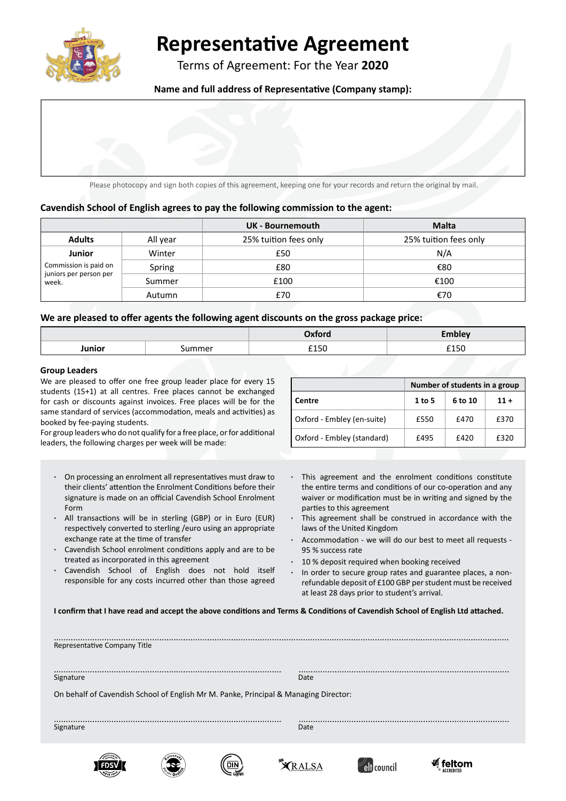

# **Representative Agreement**

Terms of Agreement: For the Year **2020**

**Name and full address of Representative (Company stamp):**



Please photocopy and sign both copies of this agreement, keeping one for your records and return the original by mail.

## **Cavendish School of English agrees to pay the following commission to the agent:**

|                                                                           |          | UK - Bournemouth      | <b>Malta</b>          |
|---------------------------------------------------------------------------|----------|-----------------------|-----------------------|
| <b>Adults</b>                                                             | All year | 25% tuition fees only | 25% tuition fees only |
| <b>Junior</b><br>Commission is paid on<br>juniors per person per<br>week. | Winter   | £50                   | N/A                   |
|                                                                           | Spring   | £80                   | €80                   |
|                                                                           | Summer   | £100                  | €100                  |
|                                                                           | Autumn   | £70                   | €70                   |

### **We are pleased to offer agents the following agent discounts on the gross package price:**

|        |                               | <b>CONTRACTOR</b> |                      |
|--------|-------------------------------|-------------------|----------------------|
| lunior |                               | £150              | $\sim$ $\sim$ $\sim$ |
|        | the company of the company of |                   |                      |

#### **Group Leaders**

We are pleased to offer one free group leader place for every 15 students (15+1) at all centres. Free places cannot be exchanged for cash or discounts against invoices. Free places will be for the same standard of services (accommodation, meals and activities) as booked by fee-paying students.

For group leaders who do not qualify for a free place, or for additional leaders, the following charges per week will be made:

- **·** On processing an enrolment all representatives must draw to their clients' attention the Enrolment Conditions before their signature is made on an official Cavendish School Enrolment Form
- **·** All transactions will be in sterling (GBP) or in Euro (EUR) respectively converted to sterling /euro using an appropriate exchange rate at the time of transfer
- **·** Cavendish School enrolment conditions apply and are to be treated as incorporated in this agreement
- **·** Cavendish School of English does not hold itself responsible for any costs incurred other than those agreed

|                            | Number of students in a group |         |        |
|----------------------------|-------------------------------|---------|--------|
| Centre                     | $1$ to 5                      | 6 to 10 | $11 +$ |
| Oxford - Embley (en-suite) | £550                          | £470    | £370   |
| Oxford - Embley (standard) | £495                          | £420    | £320   |

- **·** This agreement and the enrolment conditions constitute the entire terms and conditions of our co-operation and any waiver or modification must be in writing and signed by the parties to this agreement
- **·** This agreement shall be construed in accordance with the laws of the United Kingdom
- **·** Accommodation we will do our best to meet all requests 95 % success rate
- **·** 10 % deposit required when booking received
- **·** In order to secure group rates and guarantee places, a nonrefundable deposit of £100 GBP per student must be received at least 28 days prior to student's arrival.

**I confirm that I have read and accept the above conditions and Terms & Conditions of Cavendish School of English Ltd attached.** 

| Representative Company Title                                                         |  |           |  |
|--------------------------------------------------------------------------------------|--|-----------|--|
| Signature                                                                            |  | Date      |  |
| On behalf of Cavendish School of English Mr M. Panke, Principal & Managing Director: |  |           |  |
| Signature                                                                            |  | .<br>Date |  |
|                                                                                      |  |           |  |